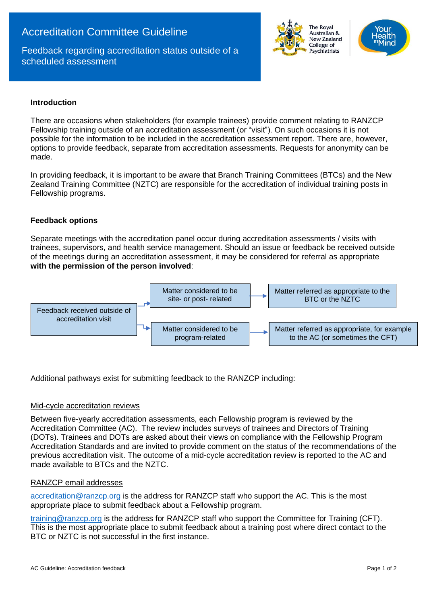# Accreditation Committee Guideline

Feedback regarding accreditation status outside of a scheduled assessment



# **Introduction**

There are occasions when stakeholders (for example trainees) provide comment relating to RANZCP Fellowship training outside of an accreditation assessment (or "visit"). On such occasions it is not possible for the information to be included in the accreditation assessment report. There are, however, options to provide feedback, separate from accreditation assessments. Requests for anonymity can be made.

In providing feedback, it is important to be aware that Branch Training Committees (BTCs) and the New Zealand Training Committee (NZTC) are responsible for the accreditation of individual training posts in Fellowship programs.

# **Feedback options**

Separate meetings with the accreditation panel occur during accreditation assessments / visits with trainees, supervisors, and health service management. Should an issue or feedback be received outside of the meetings during an accreditation assessment, it may be considered for referral as appropriate **with the permission of the person involved**:



Additional pathways exist for submitting feedback to the RANZCP including:

# Mid-cycle accreditation reviews

Between five-yearly accreditation assessments, each Fellowship program is reviewed by the Accreditation Committee (AC). The review includes surveys of trainees and Directors of Training (DOTs). Trainees and DOTs are asked about their views on compliance with the Fellowship Program Accreditation Standards and are invited to provide comment on the status of the recommendations of the previous accreditation visit. The outcome of a mid-cycle accreditation review is reported to the AC and made available to BTCs and the NZTC.

#### RANZCP email addresses

[accreditation@ranzcp.org](mailto:accreditation@ranzcp.org) is the address for RANZCP staff who support the AC. This is the most appropriate place to submit feedback about a Fellowship program.

[training@ranzcp.org](mailto:training@ranzcp.org) is the address for RANZCP staff who support the Committee for Training (CFT). This is the most appropriate place to submit feedback about a training post where direct contact to the BTC or NZTC is not successful in the first instance.